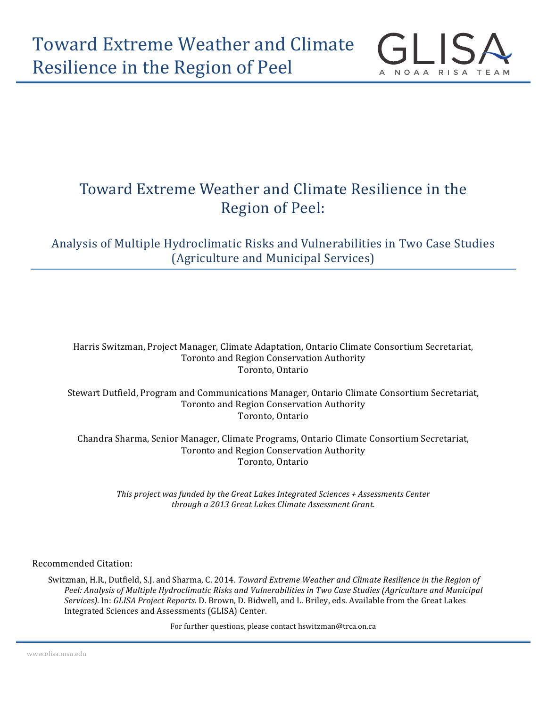

# Toward Extreme Weather and Climate Resilience in the Region of Peel:

### Analysis of Multiple Hydroclimatic Risks and Vulnerabilities in Two Case Studies (Agriculture and Municipal Services)

Harris Switzman, Project Manager, Climate Adaptation, Ontario Climate Consortium Secretariat, Toronto and Region Conservation Authority Toronto, Ontario

Stewart Dutfield, Program and Communications Manager, Ontario Climate Consortium Secretariat, Toronto and Region Conservation Authority Toronto, Ontario

Chandra Sharma, Senior Manager, Climate Programs, Ontario Climate Consortium Secretariat, Toronto and Region Conservation Authority Toronto, Ontario

*This project was funded by the Great Lakes Integrated Sciences + Assessments Center through a 2013 Great Lakes Climate Assessment Grant.*

Recommended Citation:

Switzman, H.R., Dutfield, S.J. and Sharma, C. 2014. *Toward Extreme Weather and Climate Resilience in the Region of* Peel: Analysis of Multiple Hydroclimatic Risks and Vulnerabilities in Two Case Studies (Agriculture and Municipal *Services).* In: *GLISA Project Reports*. D. Brown, D. Bidwell, and L. Briley, eds. Available from the Great Lakes Integrated Sciences and Assessments (GLISA) Center.

For further questions, please contact hswitzman@trca.on.ca

www.glisa.msu.edu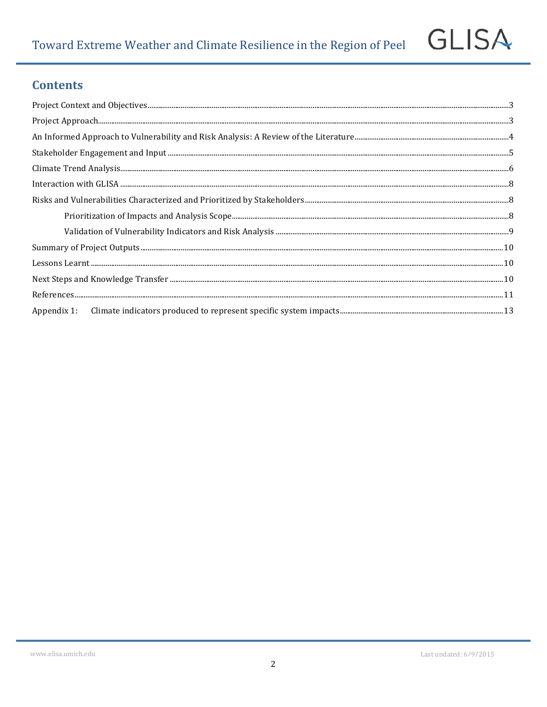### **Contents**

**GLISA**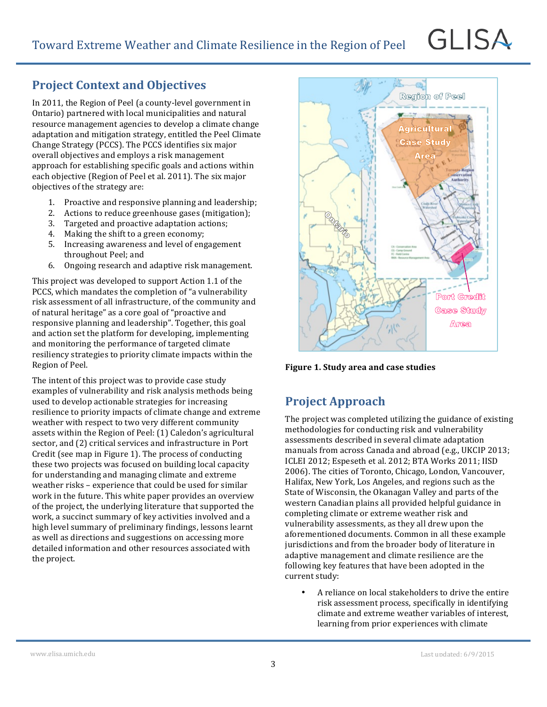### **Project Context and Objectives**

In 2011, the Region of Peel (a county-level government in Ontario) partnered with local municipalities and natural resource management agencies to develop a climate change adaptation and mitigation strategy, entitled the Peel Climate Change Strategy (PCCS). The PCCS identifies six major overall objectives and employs a risk management approach for establishing specific goals and actions within each objective (Region of Peel et al. 2011). The six major objectives of the strategy are:

- 1. Proactive and responsive planning and leadership:
- 2. Actions to reduce greenhouse gases (mitigation);
- 3. Targeted and proactive adaptation actions;
- 4. Making the shift to a green economy;
- 5. Increasing awareness and level of engagement throughout Peel; and
- 6. Ongoing research and adaptive risk management.

This project was developed to support Action 1.1 of the PCCS, which mandates the completion of "a vulnerability risk assessment of all infrastructure, of the community and of natural heritage" as a core goal of "proactive and responsive planning and leadership". Together, this goal and action set the platform for developing, implementing and monitoring the performance of targeted climate resiliency strategies to priority climate impacts within the Region of Peel.

The intent of this project was to provide case study examples of vulnerability and risk analysis methods being used to develop actionable strategies for increasing resilience to priority impacts of climate change and extreme weather with respect to two very different community assets within the Region of Peel: (1) Caledon's agricultural sector, and (2) critical services and infrastructure in Port Credit (see map in Figure 1). The process of conducting these two projects was focused on building local capacity for understanding and managing climate and extreme weather risks - experience that could be used for similar work in the future. This white paper provides an overview of the project, the underlying literature that supported the work, a succinct summary of key activities involved and a high level summary of preliminary findings, lessons learnt as well as directions and suggestions on accessing more detailed information and other resources associated with the project.



GLISA

**Figure 1. Study area and case studies** 

### **Project Approach**

The project was completed utilizing the guidance of existing methodologies for conducting risk and vulnerability assessments described in several climate adaptation manuals from across Canada and abroad (e.g., UKCIP 2013; ICLEI 2012; Espeseth et al. 2012; BTA Works 2011; IISD 2006). The cities of Toronto, Chicago, London, Vancouver, Halifax, New York, Los Angeles, and regions such as the State of Wisconsin, the Okanagan Valley and parts of the western Canadian plains all provided helpful guidance in completing climate or extreme weather risk and vulnerability assessments, as they all drew upon the aforementioned documents. Common in all these example jurisdictions and from the broader body of literature in adaptive management and climate resilience are the following key features that have been adopted in the current study:

A reliance on local stakeholders to drive the entire risk assessment process, specifically in identifying climate and extreme weather variables of interest, learning from prior experiences with climate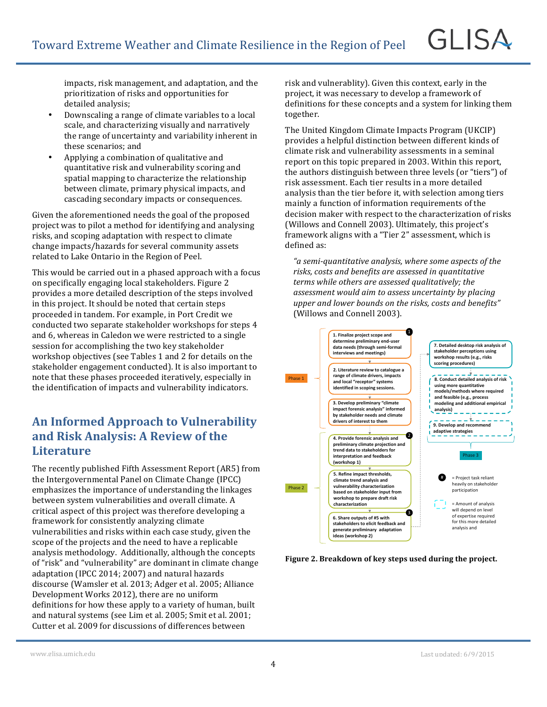impacts, risk management, and adaptation, and the prioritization of risks and opportunities for detailed analysis;

- Downscaling a range of climate variables to a local scale, and characterizing visually and narratively the range of uncertainty and variability inherent in these scenarios; and
- Applying a combination of qualitative and quantitative risk and vulnerability scoring and spatial mapping to characterize the relationship between climate, primary physical impacts, and cascading secondary impacts or consequences.

Given the aforementioned needs the goal of the proposed project was to pilot a method for identifying and analysing risks, and scoping adaptation with respect to climate change impacts/hazards for several community assets related to Lake Ontario in the Region of Peel.

This would be carried out in a phased approach with a focus on specifically engaging local stakeholders. Figure 2 provides a more detailed description of the steps involved in this project. It should be noted that certain steps proceeded in tandem. For example, in Port Credit we conducted two separate stakeholder workshops for steps 4 and 6, whereas in Caledon we were restricted to a single session for accomplishing the two key stakeholder workshop objectives (see Tables 1 and 2 for details on the stakeholder engagement conducted). It is also important to note that these phases proceeded iteratively, especially in the identification of impacts and vulnerability indicators.

### An Informed Approach to Vulnerability and Risk Analysis: A Review of the **Literature**

The recently published Fifth Assessment Report (AR5) from the Intergovernmental Panel on Climate Change (IPCC) emphasizes the importance of understanding the linkages between system vulnerabilities and overall climate. A critical aspect of this project was therefore developing a framework for consistently analyzing climate vulnerabilities and risks within each case study, given the scope of the projects and the need to have a replicable analysis methodology. Additionally, although the concepts of "risk" and "vulnerability" are dominant in climate change adaptation (IPCC 2014; 2007) and natural hazards discourse (Wamsler et al. 2013; Adger et al. 2005; Alliance Development Works 2012), there are no uniform definitions for how these apply to a variety of human, built and natural systems (see Lim et al. 2005; Smit et al. 2001; Cutter et al. 2009 for discussions of differences between

risk and vulnerablity). Given this context, early in the project, it was necessary to develop a framework of definitions for these concepts and a system for linking them together.

GLISA

The United Kingdom Climate Impacts Program (UKCIP) provides a helpful distinction between different kinds of climate risk and vulnerability assessments in a seminal report on this topic prepared in 2003. Within this report, the authors distinguish between three levels (or "tiers") of risk assessment. Each tier results in a more detailed analysis than the tier before it, with selection among tiers mainly a function of information requirements of the decision maker with respect to the characterization of risks (Willows and Connell 2003). Ultimately, this project's framework aligns with a "Tier 2" assessment, which is defined as:

"a semi-quantitative analysis, where some aspects of the risks, costs and benefits are assessed in quantitative terms while others are assessed qualitatively; the assessment would aim to assess uncertainty by placing upper and lower bounds on the risks, costs and benefits" (Willows and Connell 2003).



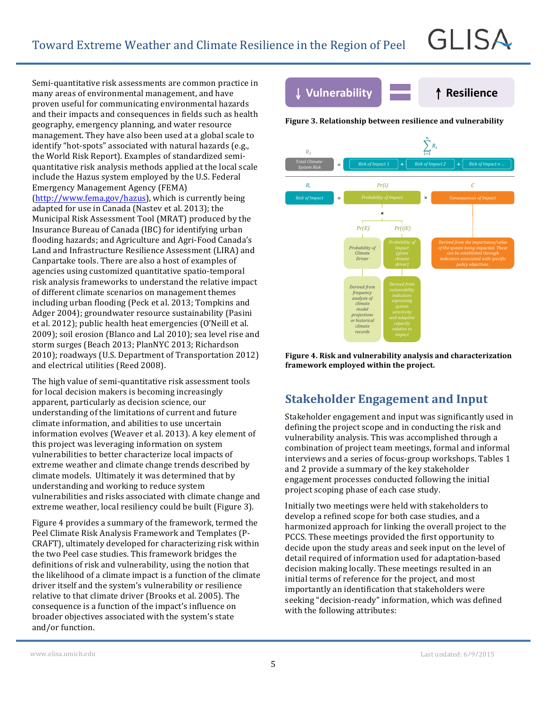Semi-quantitative risk assessments are common practice in many areas of environmental management, and have proven useful for communicating environmental hazards and their impacts and consequences in fields such as health geography, emergency planning, and water resource management. They have also been used at a global scale to identify "hot-spots" associated with natural hazards (e.g., the World Risk Report). Examples of standardized semiquantitative risk analysis methods applied at the local scale include the Hazus system employed by the U.S. Federal Emergency Management Agency (FEMA) (http://www.fema.gov/hazus), which is currently being adapted for use in Canada (Nastev et al. 2013); the Municipal Risk Assessment Tool (MRAT) produced by the Insurance Bureau of Canada (IBC) for identifying urban flooding hazards; and Agriculture and Agri-Food Canada's Land and Infrastructure Resilience Assessment (LIRA) and Canpartake tools. There are also a host of examples of agencies using customized quantitative spatio-temporal risk analysis frameworks to understand the relative impact of different climate scenarios on management themes including urban flooding (Peck et al. 2013; Tompkins and Adger 2004); groundwater resource sustainability (Pasini et al. 2012); public health heat emergencies (O'Neill et al. 2009); soil erosion (Blanco and Lal 2010); sea level rise and storm surges (Beach 2013; PlanNYC 2013; Richardson 2010); roadways (U.S. Department of Transportation 2012)

The high value of semi-quantitative risk assessment tools for local decision makers is becoming increasingly apparent, particularly as decision science, our understanding of the limitations of current and future climate information, and abilities to use uncertain information evolves (Weaver et al. 2013). A key element of this project was leveraging information on system vulnerabilities to better characterize local impacts of extreme weather and climate change trends described by climate models. Ultimately it was determined that by understanding and working to reduce system vulnerabilities and risks associated with climate change and extreme weather, local resiliency could be built (Figure 3).

and electrical utilities (Reed 2008).

Figure 4 provides a summary of the framework, termed the Peel Climate Risk Analysis Framework and Templates (P-CRAFT), ultimately developed for characterizing risk within the two Peel case studies. This framework bridges the definitions of risk and vulnerability, using the notion that the likelihood of a climate impact is a function of the climate driver itself and the system's vulnerability or resilience relative to that climate driver (Brooks et al. 2005). The consequence is a function of the impact's influence on broader objectives associated with the system's state and/or function.



GLISA

**Figure 3. Relationship between resilience and vulnerability**





# **Stakeholder Engagement and Input**

Stakeholder engagement and input was significantly used in defining the project scope and in conducting the risk and vulnerability analysis. This was accomplished through a combination of project team meetings, formal and informal interviews and a series of focus-group workshops. Tables 1 and 2 provide a summary of the key stakeholder engagement processes conducted following the initial project scoping phase of each case study.

Initially two meetings were held with stakeholders to develop a refined scope for both case studies, and a harmonized approach for linking the overall project to the PCCS. These meetings provided the first opportunity to decide upon the study areas and seek input on the level of detail required of information used for adaptation-based decision making locally. These meetings resulted in an initial terms of reference for the project, and most importantly an identification that stakeholders were seeking "decision-ready" information, which was defined with the following attributes: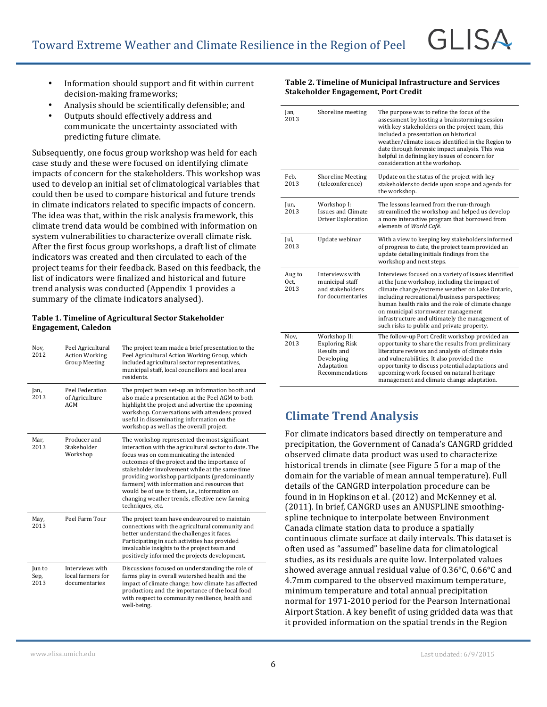- Information should support and fit within current decision-making frameworks;
- Analysis should be scientifically defensible; and
- Outputs should effectively address and communicate the uncertainty associated with predicting future climate.

Subsequently, one focus group workshop was held for each case study and these were focused on identifying climate impacts of concern for the stakeholders. This workshop was used to develop an initial set of climatological variables that could then be used to compare historical and future trends in climate indicators related to specific impacts of concern. The idea was that, within the risk analysis framework, this climate trend data would be combined with information on system vulnerabilities to characterize overall climate risk. After the first focus group workshops, a draft list of climate indicators was created and then circulated to each of the project teams for their feedback. Based on this feedback, the list of indicators were finalized and historical and future trend analysis was conducted (Appendix 1 provides a summary of the climate indicators analysed).

#### Table 1. Timeline of Agricultural Sector Stakeholder **Engagement, Caledon**

| Nov.<br>2012           | Peel Agricultural<br><b>Action Working</b><br><b>Group Meeting</b> | The project team made a brief presentation to the<br>Peel Agricultural Action Working Group, which<br>included agricultural sector representatives,<br>municipal staff, local councillors and local area<br>residents.                                                                                                                                                                                                                                                        |
|------------------------|--------------------------------------------------------------------|-------------------------------------------------------------------------------------------------------------------------------------------------------------------------------------------------------------------------------------------------------------------------------------------------------------------------------------------------------------------------------------------------------------------------------------------------------------------------------|
| Jan,<br>2013           | Peel Federation<br>of Agriculture<br>AGM                           | The project team set-up an information booth and<br>also made a presentation at the Peel AGM to both<br>highlight the project and advertise the upcoming<br>workshop. Conversations with attendees proved<br>useful in disseminating information on the<br>workshop as well as the overall project.                                                                                                                                                                           |
| Mar,<br>2013           | Producer and<br>Stakeholder<br>Workshop                            | The workshop represented the most significant<br>interaction with the agricultural sector to date. The<br>focus was on communicating the intended<br>outcomes of the project and the importance of<br>stakeholder involvement while at the same time<br>providing workshop participants (predominantly<br>farmers) with information and resources that<br>would be of use to them, i.e., information on<br>changing weather trends, effective new farming<br>techniques, etc. |
| May,<br>2013           | Peel Farm Tour                                                     | The project team have endeavoured to maintain<br>connections with the agricultural community and<br>better understand the challenges it faces.<br>Participating in such activities has provided<br>invaluable insights to the project team and<br>positively informed the projects development.                                                                                                                                                                               |
| Jun to<br>Sep,<br>2013 | Interviews with<br>local farmers for<br>documentaries              | Discussions focused on understanding the role of<br>farms play in overall watershed health and the<br>impact of climate change; how climate has affected<br>production; and the importance of the local food<br>with respect to community resilience, health and<br>well-being.                                                                                                                                                                                               |

#### **Table 2. Timeline of Municipal Infrastructure and Services Stakeholder Engagement, Port Credit**

| Jan,<br>2013           | Shoreline meeting                                                                                   | The purpose was to refine the focus of the<br>assessment by hosting a brainstorming session<br>with key stakeholders on the project team, this<br>included a presentation on historical<br>weather/climate issues identified in the Region to<br>date through forensic impact analysis. This was<br>helpful in defining key issues of concern for<br>consideration at the workshop.                   |
|------------------------|-----------------------------------------------------------------------------------------------------|-------------------------------------------------------------------------------------------------------------------------------------------------------------------------------------------------------------------------------------------------------------------------------------------------------------------------------------------------------------------------------------------------------|
| Feb.<br>2013           | <b>Shoreline Meeting</b><br>(teleconference)                                                        | Update on the status of the project with key<br>stakeholders to decide upon scope and agenda for<br>the workshop.                                                                                                                                                                                                                                                                                     |
| Jun,<br>2013           | Workshop I:<br><b>Issues and Climate</b><br>Driver Exploration                                      | The lessons learned from the run-through<br>streamlined the workshop and helped us develop<br>a more interactive program that borrowed from<br>elements of World Café.                                                                                                                                                                                                                                |
| Jul,<br>2013           | Update webinar                                                                                      | With a view to keeping key stakeholders informed<br>of progress to date, the project team provided an<br>update detailing initials findings from the<br>workshop and next steps.                                                                                                                                                                                                                      |
| Aug to<br>Oct.<br>2013 | Interviews with<br>municipal staff<br>and stakeholders<br>for documentaries                         | Interviews focused on a variety of issues identified<br>at the June workshop, including the impact of<br>climate change/extreme weather on Lake Ontario,<br>including recreational/business perspectives;<br>human health risks and the role of climate change<br>on municipal stormwater management<br>infrastructure and ultimately the management of<br>such risks to public and private property. |
| Nov,<br>2013           | Workshop II:<br><b>Exploring Risk</b><br>Results and<br>Developing<br>Adaptation<br>Recommendations | The follow-up Port Credit workshop provided an<br>opportunity to share the results from preliminary<br>literature reviews and analysis of climate risks<br>and vulnerabilities. It also provided the<br>opportunity to discuss potential adaptations and<br>upcoming work focused on natural heritage<br>management and climate change adaptation.                                                    |

# **Climate Trend Analysis**

For climate indicators based directly on temperature and precipitation, the Government of Canada's CANGRD gridded observed climate data product was used to characterize historical trends in climate (see Figure 5 for a map of the domain for the variable of mean annual temperature). Full details of the CANGRD interpolation procedure can be found in in Hopkinson et al. (2012) and McKenney et al. (2011). In brief, CANGRD uses an ANUSPLINE smoothingspline technique to interpolate between Environment Canada climate station data to produce a spatially continuous climate surface at daily intervals. This dataset is often used as "assumed" baseline data for climatological studies, as its residuals are quite low. Interpolated values showed average annual residual value of  $0.36^{\circ}$ C,  $0.66^{\circ}$ C and 4.7mm compared to the observed maximum temperature, minimum temperature and total annual precipitation normal for 1971-2010 period for the Pearson International Airport Station. A key benefit of using gridded data was that it provided information on the spatial trends in the Region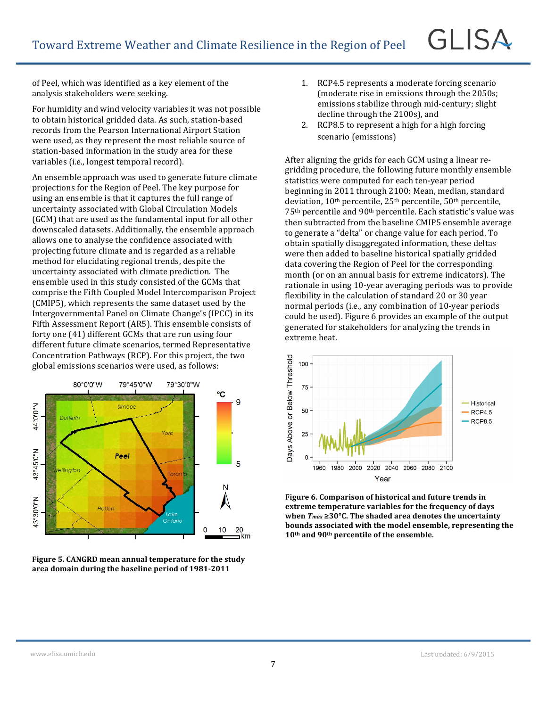of Peel, which was identified as a key element of the analysis stakeholders were seeking.

For humidity and wind velocity variables it was not possible to obtain historical gridded data. As such, station-based records from the Pearson International Airport Station were used, as they represent the most reliable source of station-based information in the study area for these variables (i.e., longest temporal record).

An ensemble approach was used to generate future climate projections for the Region of Peel. The key purpose for using an ensemble is that it captures the full range of uncertainty associated with Global Circulation Models (GCM) that are used as the fundamental input for all other downscaled datasets. Additionally, the ensemble approach allows one to analyse the confidence associated with projecting future climate and is regarded as a reliable method for elucidating regional trends, despite the uncertainty associated with climate prediction. The ensemble used in this study consisted of the GCMs that comprise the Fifth Coupled Model Intercomparison Project (CMIP5), which represents the same dataset used by the Intergovernmental Panel on Climate Change's (IPCC) in its Fifth Assessment Report (AR5). This ensemble consists of forty one (41) different GCMs that are run using four different future climate scenarios, termed Representative Concentration Pathways (RCP). For this project, the two global emissions scenarios were used, as follows:



**Figure 5. CANGRD mean annual temperature for the study area domain during the baseline period of 1981-2011**

- 1. RCP4.5 represents a moderate forcing scenario (moderate rise in emissions through the 2050s; emissions stabilize through mid-century; slight decline through the 2100s), and
- 2. RCP8.5 to represent a high for a high forcing scenario (emissions)

After aligning the grids for each GCM using a linear regridding procedure, the following future monthly ensemble statistics were computed for each ten-year period beginning in 2011 through 2100: Mean, median, standard deviation,  $10^{th}$  percentile,  $25^{th}$  percentile,  $50^{th}$  percentile, 75<sup>th</sup> percentile and 90<sup>th</sup> percentile. Each statistic's value was then subtracted from the baseline CMIP5 ensemble average to generate a "delta" or change value for each period. To obtain spatially disaggregated information, these deltas were then added to baseline historical spatially gridded data covering the Region of Peel for the corresponding month (or on an annual basis for extreme indicators). The rationale in using 10-year averaging periods was to provide flexibility in the calculation of standard 20 or 30 year normal periods (i.e., any combination of 10-year periods could be used). Figure 6 provides an example of the output generated for stakeholders for analyzing the trends in extreme heat.



Figure 6. Comparison of historical and future trends in extreme temperature variables for the frequency of days when  $T_{max} \ge 30^{\circ}$ C. The shaded area denotes the uncertainty bounds associated with the model ensemble, representing the **10th and 90th percentile of the ensemble.**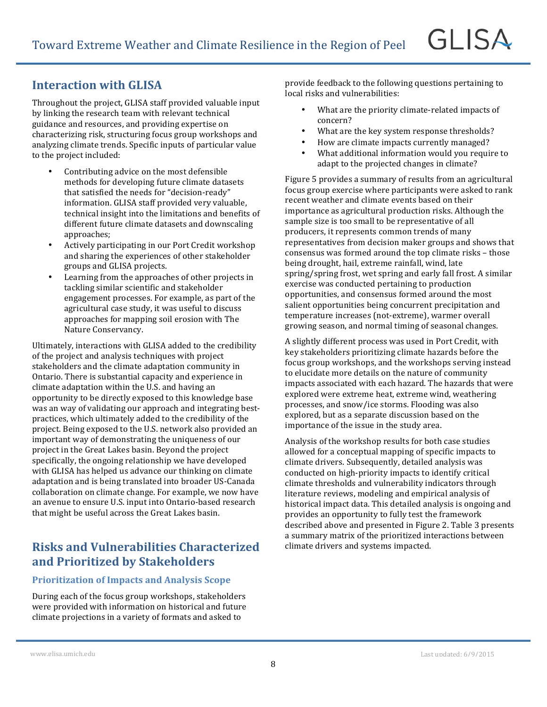### **Interaction with GLISA**

Throughout the project, GLISA staff provided valuable input by linking the research team with relevant technical guidance and resources, and providing expertise on characterizing risk, structuring focus group workshops and analyzing climate trends. Specific inputs of particular value to the project included:

- Contributing advice on the most defensible methods for developing future climate datasets that satisfied the needs for "decision-ready" information. GLISA staff provided very valuable. technical insight into the limitations and benefits of different future climate datasets and downscaling approaches;
- Actively participating in our Port Credit workshop and sharing the experiences of other stakeholder groups and GLISA projects.
- Learning from the approaches of other projects in tackling similar scientific and stakeholder engagement processes. For example, as part of the agricultural case study, it was useful to discuss approaches for mapping soil erosion with The Nature Conservancy.

Ultimately, interactions with GLISA added to the credibility of the project and analysis techniques with project stakeholders and the climate adaptation community in Ontario. There is substantial capacity and experience in climate adaptation within the U.S. and having an opportunity to be directly exposed to this knowledge base was an way of validating our approach and integrating bestpractices, which ultimately added to the credibility of the project. Being exposed to the U.S. network also provided an important way of demonstrating the uniqueness of our project in the Great Lakes basin. Beyond the project specifically, the ongoing relationship we have developed with GLISA has helped us advance our thinking on climate adaptation and is being translated into broader US-Canada collaboration on climate change. For example, we now have an avenue to ensure U.S. input into Ontario-based research that might be useful across the Great Lakes basin.

### **Risks and Vulnerabilities Characterized and Prioritized by Stakeholders**

#### **Prioritization of Impacts and Analysis Scope**

During each of the focus group workshops, stakeholders were provided with information on historical and future climate projections in a variety of formats and asked to

provide feedback to the following questions pertaining to local risks and vulnerabilities:

- What are the priority climate-related impacts of concern?
- What are the key system response thresholds?
- How are climate impacts currently managed?
- What additional information would you require to adapt to the projected changes in climate?

Figure 5 provides a summary of results from an agricultural focus group exercise where participants were asked to rank recent weather and climate events based on their importance as agricultural production risks. Although the sample size is too small to be representative of all producers, it represents common trends of many representatives from decision maker groups and shows that consensus was formed around the top climate risks – those being drought, hail, extreme rainfall, wind, late spring/spring frost, wet spring and early fall frost. A similar exercise was conducted pertaining to production opportunities, and consensus formed around the most salient opportunities being concurrent precipitation and temperature increases (not-extreme), warmer overall growing season, and normal timing of seasonal changes.

A slightly different process was used in Port Credit, with key stakeholders prioritizing climate hazards before the focus group workshops, and the workshops serving instead to elucidate more details on the nature of community impacts associated with each hazard. The hazards that were explored were extreme heat, extreme wind, weathering processes, and snow/ice storms. Flooding was also explored, but as a separate discussion based on the importance of the issue in the study area.

Analysis of the workshop results for both case studies allowed for a conceptual mapping of specific impacts to climate drivers. Subsequently, detailed analysis was conducted on high-priority impacts to identify critical climate thresholds and vulnerability indicators through literature reviews, modeling and empirical analysis of historical impact data. This detailed analysis is ongoing and provides an opportunity to fully test the framework described above and presented in Figure 2. Table 3 presents a summary matrix of the prioritized interactions between climate drivers and systems impacted.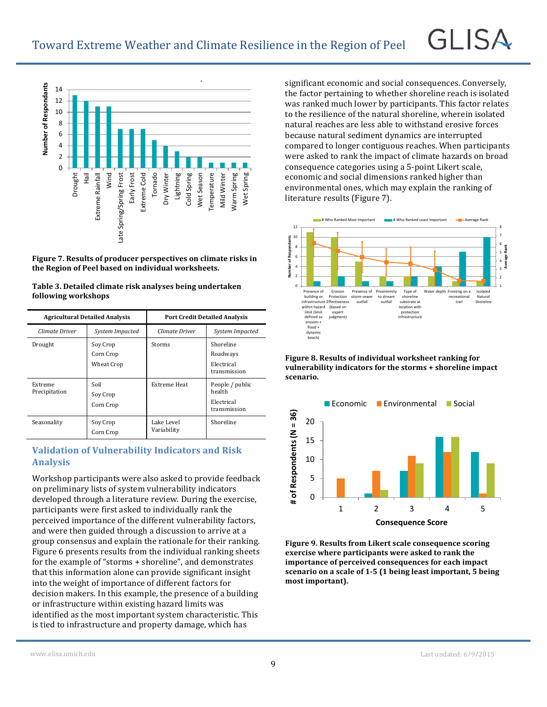

Figure 7. Results of producer perspectives on climate risks in the Region of Peel based on individual worksheets.

| Table 3. Detailed climate risk analyses being undertaken |
|----------------------------------------------------------|
| following workshops                                      |

| <b>Agricultural Detailed Analysis</b> |                                     | <b>Port Credit Detailed Analysis</b> |                                                         |
|---------------------------------------|-------------------------------------|--------------------------------------|---------------------------------------------------------|
| Climate Driver                        | System Impacted                     | Climate Driver                       | System Impacted                                         |
| Drought                               | Soy Crop<br>Corn Crop<br>Wheat Crop | Storms                               | Shoreline<br>Roadways<br>Electrical<br>transmission     |
| Extreme<br>Precipitation              | Soil<br>Soy Crop<br>Corn Crop       | Extreme Heat                         | People / public<br>health<br>Electrical<br>transmission |
| Seasonality                           | Soy Crop<br>Corn Crop               | Lake Level<br>Variability            | Shoreline                                               |

#### **Validation of Vulnerability Indicators and Risk Analysis**

Workshop participants were also asked to provide feedback on preliminary lists of system vulnerability indicators developed through a literature review. During the exercise, participants were first asked to individually rank the perceived importance of the different vulnerability factors, and were then guided through a discussion to arrive at a group consensus and explain the rationale for their ranking. Figure 6 presents results from the individual ranking sheets for the example of "storms + shoreline", and demonstrates that this information alone can provide significant insight into the weight of importance of different factors for decision makers. In this example, the presence of a building or infrastructure within existing hazard limits was identified as the most important system characteristic. This is tied to infrastructure and property damage, which has

significant economic and social consequences. Conversely, the factor pertaining to whether shoreline reach is isolated was ranked much lower by participants. This factor relates to the resilience of the natural shoreline, wherein isolated natural reaches are less able to withstand erosive forces because natural sediment dynamics are interrupted compared to longer contiguous reaches. When participants were asked to rank the impact of climate hazards on broad consequence categories using a 5-point Likert scale, economic and social dimensions ranked higher than environmental ones, which may explain the ranking of literature results (Figure 7).

GL ISA



Figure 8. Results of individual worksheet ranking for vulnerability indicators for the storms + shoreline impact **scenario.**



Figure 9. Results from Likert scale consequence scoring exercise where participants were asked to rank the **importance of perceived consequences for each impact scenario on a scale of 1-5 (1 being least important, 5 being** most important).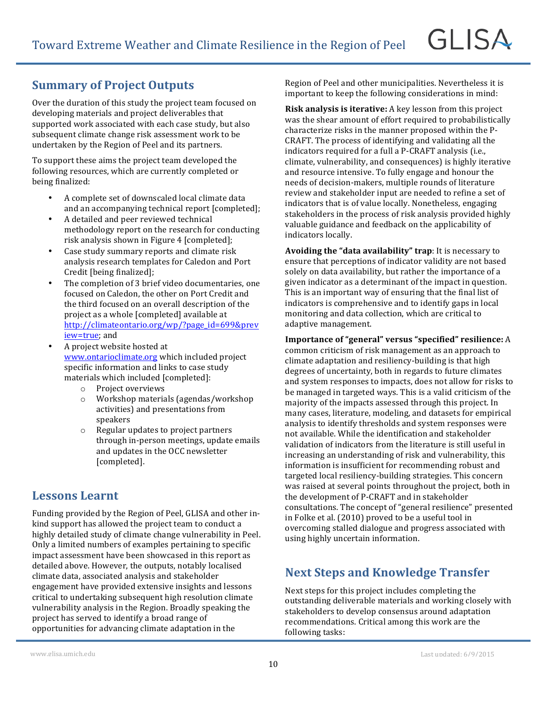### **Summary of Project Outputs**

Over the duration of this study the project team focused on developing materials and project deliverables that supported work associated with each case study, but also subsequent climate change risk assessment work to be undertaken by the Region of Peel and its partners.

To support these aims the project team developed the following resources, which are currently completed or being finalized:

- A complete set of downscaled local climate data and an accompanying technical report [completed];
- A detailed and peer reviewed technical methodology report on the research for conducting risk analysis shown in Figure 4 [completed];
- Case study summary reports and climate risk analysis research templates for Caledon and Port Credit [being finalized];
- The completion of 3 brief video documentaries, one focused on Caledon, the other on Port Credit and the third focused on an overall description of the project as a whole [completed] available at http://climateontario.org/wp/?page\_id=699&prev iew=true; and
- A project website hosted at www.ontarioclimate.org which included project specific information and links to case study materials which included [completed]:
	- o Project overviews
	- $\circ$  Workshop materials (agendas/workshop activities) and presentations from speakers
	- $\circ$  Regular updates to project partners through in-person meetings, update emails and updates in the OCC newsletter [completed].

#### **Lessons Learnt**

Funding provided by the Region of Peel, GLISA and other inkind support has allowed the project team to conduct a highly detailed study of climate change vulnerability in Peel. Only a limited numbers of examples pertaining to specific impact assessment have been showcased in this report as detailed above. However, the outputs, notably localised climate data, associated analysis and stakeholder engagement have provided extensive insights and lessons critical to undertaking subsequent high resolution climate vulnerability analysis in the Region. Broadly speaking the project has served to identify a broad range of opportunities for advancing climate adaptation in the

Region of Peel and other municipalities. Nevertheless it is important to keep the following considerations in mind:

**GLISA** 

**Risk analysis is iterative:** A key lesson from this project was the shear amount of effort required to probabilistically characterize risks in the manner proposed within the P-CRAFT. The process of identifying and validating all the indicators required for a full a P-CRAFT analysis (i.e., climate, vulnerability, and consequences) is highly iterative and resource intensive. To fully engage and honour the needs of decision-makers, multiple rounds of literature review and stakeholder input are needed to refine a set of indicators that is of value locally. Nonetheless, engaging stakeholders in the process of risk analysis provided highly valuable guidance and feedback on the applicability of indicators locally.

**Avoiding the "data availability" trap:** It is necessary to ensure that perceptions of indicator validity are not based solely on data availability, but rather the importance of a given indicator as a determinant of the impact in question. This is an important way of ensuring that the final list of indicators is comprehensive and to identify gaps in local monitoring and data collection, which are critical to adaptive management.

**Importance of "general" versus "specified" resilience:** A common criticism of risk management as an approach to climate adaptation and resiliency-building is that high degrees of uncertainty, both in regards to future climates and system responses to impacts, does not allow for risks to be managed in targeted ways. This is a valid criticism of the majority of the impacts assessed through this project. In many cases, literature, modeling, and datasets for empirical analysis to identify thresholds and system responses were not available. While the identification and stakeholder validation of indicators from the literature is still useful in increasing an understanding of risk and vulnerability, this information is insufficient for recommending robust and targeted local resiliency-building strategies. This concern was raised at several points throughout the project, both in the development of P-CRAFT and in stakeholder consultations. The concept of "general resilience" presented in Folke et al.  $(2010)$  proved to be a useful tool in overcoming stalled dialogue and progress associated with using highly uncertain information.

### **Next Steps and Knowledge Transfer**

Next steps for this project includes completing the outstanding deliverable materials and working closely with stakeholders to develop consensus around adaptation recommendations. Critical among this work are the following tasks: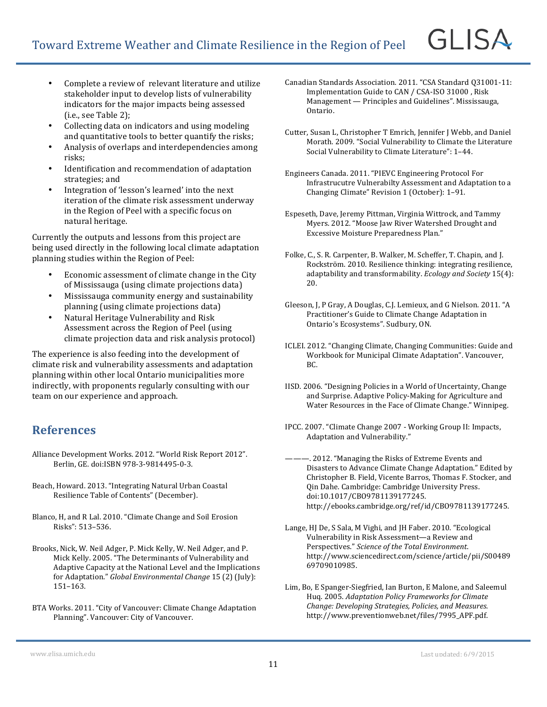- Complete a review of relevant literature and utilize stakeholder input to develop lists of vulnerability indicators for the major impacts being assessed  $(i.e., see Table 2);$
- Collecting data on indicators and using modeling and quantitative tools to better quantify the risks;
- Analysis of overlaps and interdependencies among risks;
- Identification and recommendation of adaptation strategies; and
- Integration of 'lesson's learned' into the next iteration of the climate risk assessment underway in the Region of Peel with a specific focus on natural heritage.

Currently the outputs and lessons from this project are being used directly in the following local climate adaptation planning studies within the Region of Peel:

- Economic assessment of climate change in the City of Mississauga (using climate projections data)
- Mississauga community energy and sustainability planning (using climate projections data)
- Natural Heritage Vulnerability and Risk Assessment across the Region of Peel (using climate projection data and risk analysis protocol)

The experience is also feeding into the development of climate risk and vulnerability assessments and adaptation planning within other local Ontario municipalities more indirectly, with proponents regularly consulting with our team on our experience and approach.

### **References**

- Alliance Development Works. 2012. "World Risk Report 2012". Berlin, GE. doi:ISBN 978-3-9814495-0-3.
- Beach, Howard. 2013. "Integrating Natural Urban Coastal Resilience Table of Contents" (December).
- Blanco, H, and R Lal. 2010. "Climate Change and Soil Erosion Risks": 513-536.
- Brooks, Nick, W. Neil Adger, P. Mick Kelly, W. Neil Adger, and P. Mick Kelly. 2005. "The Determinants of Vulnerability and Adaptive Capacity at the National Level and the Implications for Adaptation." *Global Environmental Change* 15 (2) (July): 151–163.
- BTA Works. 2011. "City of Vancouver: Climate Change Adaptation Planning". Vancouver: City of Vancouver.
- Canadian Standards Association. 2011. "CSA Standard Q31001-11: Implementation Guide to CAN / CSA-ISO 31000, Risk  $M$ anagement — Principles and Guidelines". Mississauga, Ontario.
- Cutter, Susan L, Christopher T Emrich, Jennifer J Webb, and Daniel Morath. 2009. "Social Vulnerability to Climate the Literature Social Vulnerability to Climate Literature": 1-44.
- Engineers Canada. 2011. "PIEVC Engineering Protocol For Infrastrucutre Vulnerabilty Assessment and Adaptation to a Changing Climate" Revision 1 (October): 1-91.
- Espeseth, Dave, Jeremy Pittman, Virginia Wittrock, and Tammy Myers. 2012. "Moose Jaw River Watershed Drought and Excessive Moisture Preparedness Plan."
- Folke, C., S. R. Carpenter, B. Walker, M. Scheffer, T. Chapin, and J. Rockström. 2010. Resilience thinking: integrating resilience, adaptability and transformability. *Ecology and Society* 15(4): 20.
- Gleeson, J, P Gray, A Douglas, C.J. Lemieux, and G Nielson. 2011. "A Practitioner's Guide to Climate Change Adaptation in Ontario's Ecosystems". Sudbury, ON.
- ICLEI. 2012. "Changing Climate, Changing Communities: Guide and Workbook for Municipal Climate Adaptation". Vancouver, BC.
- IISD. 2006. "Designing Policies in a World of Uncertainty, Change and Surprise. Adaptive Policy-Making for Agriculture and Water Resources in the Face of Climate Change." Winnipeg.
- IPCC. 2007. "Climate Change 2007 Working Group II: Impacts, Adaptation and Vulnerability."
- ———. 2012. "Managing the Risks of Extreme Events and Disasters to Advance Climate Change Adaptation." Edited by Christopher B. Field, Vicente Barros, Thomas F. Stocker, and Qin Dahe. Cambridge: Cambridge University Press. doi:10.1017/CBO9781139177245. http://ebooks.cambridge.org/ref/id/CBO9781139177245.
- Lange, HJ De, S Sala, M Vighi, and JH Faber. 2010. "Ecological Vulnerability in Risk Assessment—a Review and Perspectives." Science of the Total Environment. http://www.sciencedirect.com/science/article/pii/S00489 69709010985.
- Lim, Bo, E Spanger-Siegfried, Ian Burton, E Malone, and Saleemul Huq. 2005. *Adaptation Policy Frameworks for Climate Change: Developing Strategies, Policies, and Measures*. http://www.preventionweb.net/files/7995\_APF.pdf.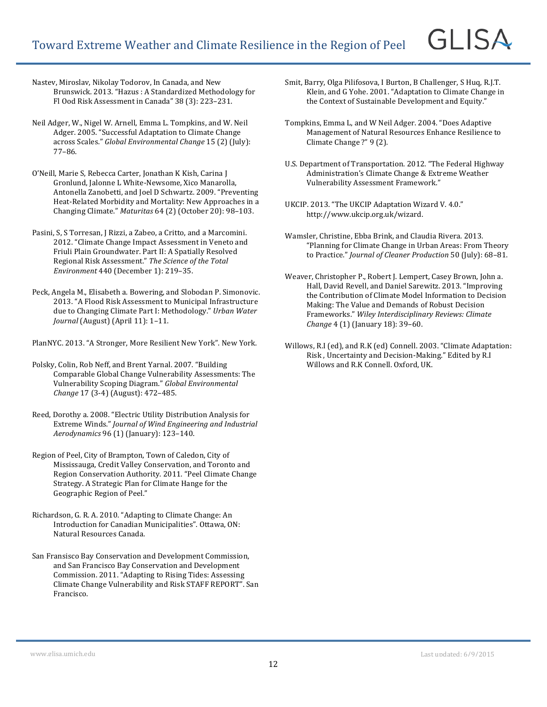Nastev, Miroslav, Nikolay Todorov, In Canada, and New Brunswick. 2013. "Hazus : A Standardized Methodology for Fl Ood Risk Assessment in Canada" 38 (3): 223-231.

- Neil Adger, W., Nigel W. Arnell, Emma L. Tompkins, and W. Neil Adger. 2005. "Successful Adaptation to Climate Change across Scales." Global Environmental Change 15 (2) (July): 77–86.
- O'Neill, Marie S, Rebecca Carter, Jonathan K Kish, Carina J Gronlund, Jalonne L White-Newsome, Xico Manarolla, Antonella Zanobetti, and Joel D Schwartz. 2009. "Preventing Heat-Related Morbidity and Mortality: New Approaches in a Changing Climate." Maturitas 64 (2) (October 20): 98-103.
- Pasini, S, S Torresan, J Rizzi, a Zabeo, a Critto, and a Marcomini. 2012. "Climate Change Impact Assessment in Veneto and Friuli Plain Groundwater. Part II: A Spatially Resolved Regional Risk Assessment." The Science of the Total *Environment* 440 (December 1): 219-35.
- Peck, Angela M., Elisabeth a. Bowering, and Slobodan P. Simonovic. 2013. "A Flood Risk Assessment to Municipal Infrastructure due to Changing Climate Part I: Methodology." *Urban Water Journal* (August) (April 11): 1-11.

PlanNYC. 2013. "A Stronger, More Resilient New York". New York.

- Polsky, Colin, Rob Neff, and Brent Yarnal. 2007. "Building Comparable Global Change Vulnerability Assessments: The Vulnerability Scoping Diagram." *Global Environmental Change* 17 (3-4) (August): 472-485.
- Reed, Dorothy a. 2008. "Electric Utility Distribution Analysis for Extreme Winds." *Journal of Wind Engineering and Industrial Aerodynamics* 96 (1) (January): 123–140.
- Region of Peel, City of Brampton, Town of Caledon, City of Mississauga, Credit Valley Conservation, and Toronto and Region Conservation Authority. 2011. "Peel Climate Change Strategy. A Strategic Plan for Climate Hange for the Geographic Region of Peel."
- Richardson, G. R. A. 2010. "Adapting to Climate Change: An Introduction for Canadian Municipalities". Ottawa, ON: Natural Resources Canada.
- San Fransisco Bay Conservation and Development Commission, and San Francisco Bay Conservation and Development Commission. 2011. "Adapting to Rising Tides: Assessing Climate Change Vulnerability and Risk STAFF REPORT". San Francisco.
- Smit, Barry, Olga Pilifosova, I Burton, B Challenger, S Huq, R.J.T. Klein, and G Yohe. 2001. "Adaptation to Climate Change in the Context of Sustainable Development and Equity."
- Tompkins, Emma L, and W Neil Adger. 2004. "Does Adaptive Management of Natural Resources Enhance Resilience to Climate Change?" 9 (2).
- U.S. Department of Transportation. 2012. "The Federal Highway Administration's Climate Change & Extreme Weather Vulnerability Assessment Framework."
- UKCIP. 2013. "The UKCIP Adaptation Wizard V. 4.0." http://www.ukcip.org.uk/wizard.
- Wamsler, Christine, Ebba Brink, and Claudia Rivera. 2013. "Planning for Climate Change in Urban Areas: From Theory to Practice." *Journal of Cleaner Production* 50 (July): 68-81.
- Weaver, Christopher P., Robert J. Lempert, Casey Brown, John a. Hall, David Revell, and Daniel Sarewitz. 2013. "Improving the Contribution of Climate Model Information to Decision Making: The Value and Demands of Robust Decision Frameworks." *Wiley Interdisciplinary Reviews: Climate Change* 4 (1) (January 18): 39-60.
- Willows, R.I (ed), and R.K (ed) Connell. 2003. "Climate Adaptation: Risk, Uncertainty and Decision-Making." Edited by R.I Willows and R.K Connell. Oxford, UK.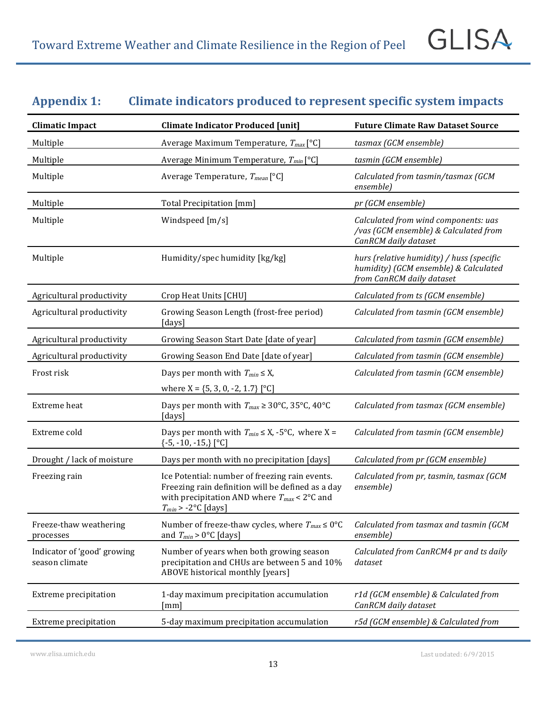# Appendix 1: Climate indicators produced to represent specific system impacts

| <b>Climatic Impact</b>                        | <b>Climate Indicator Produced [unit]</b>                                                                                                                                           | <b>Future Climate Raw Dataset Source</b>                                                                        |
|-----------------------------------------------|------------------------------------------------------------------------------------------------------------------------------------------------------------------------------------|-----------------------------------------------------------------------------------------------------------------|
| Multiple                                      | Average Maximum Temperature, $T_{max}$ [°C]                                                                                                                                        | tasmax (GCM ensemble)                                                                                           |
| Multiple                                      | Average Minimum Temperature, $T_{min}$ [°C]                                                                                                                                        | tasmin (GCM ensemble)                                                                                           |
| Multiple                                      | Average Temperature, $T_{mean}$ [°C]                                                                                                                                               | Calculated from tasmin/tasmax (GCM<br>ensemble)                                                                 |
| Multiple                                      | Total Precipitation [mm]                                                                                                                                                           | pr (GCM ensemble)                                                                                               |
| Multiple                                      | Windspeed [m/s]                                                                                                                                                                    | Calculated from wind components: uas<br>/vas (GCM ensemble) & Calculated from<br>CanRCM daily dataset           |
| Multiple                                      | Humidity/spec humidity [kg/kg]                                                                                                                                                     | hurs (relative humidity) / huss (specific<br>humidity) (GCM ensemble) & Calculated<br>from CanRCM daily dataset |
| Agricultural productivity                     | Crop Heat Units [CHU]                                                                                                                                                              | Calculated from ts (GCM ensemble)                                                                               |
| Agricultural productivity                     | Growing Season Length (frost-free period)<br>[days]                                                                                                                                | Calculated from tasmin (GCM ensemble)                                                                           |
| Agricultural productivity                     | Growing Season Start Date [date of year]                                                                                                                                           | Calculated from tasmin (GCM ensemble)                                                                           |
| Agricultural productivity                     | Growing Season End Date [date of year]                                                                                                                                             | Calculated from tasmin (GCM ensemble)                                                                           |
| Frost risk                                    | Days per month with $T_{min} \leq X$ ,                                                                                                                                             | Calculated from tasmin (GCM ensemble)                                                                           |
|                                               | where $X = \{5, 3, 0, -2, 1.7\}$ [°C]                                                                                                                                              |                                                                                                                 |
| Extreme heat                                  | Days per month with $T_{max} \ge 30^{\circ}$ C, 35°C, 40°C<br>[days]                                                                                                               | Calculated from tasmax (GCM ensemble)                                                                           |
| Extreme cold                                  | Days per month with $T_{min} \le X$ , -5°C, where X =<br>{-5, -10, -15,} [°C]                                                                                                      | Calculated from tasmin (GCM ensemble)                                                                           |
| Drought / lack of moisture                    | Days per month with no precipitation [days]                                                                                                                                        | Calculated from pr (GCM ensemble)                                                                               |
| Freezing rain                                 | Ice Potential: number of freezing rain events.<br>Freezing rain definition will be defined as a day<br>with precipitation AND where $T_{max}$ < 2°C and<br>$T_{min}$ > -2°C [days] | Calculated from pr, tasmin, tasmax (GCM<br>ensemble)                                                            |
| Freeze-thaw weathering<br>processes           | Number of freeze-thaw cycles, where $T_{max} \leq 0$ °C<br>and $T_{min} > 0$ °C [days]                                                                                             | Calculated from tasmax and tasmin (GCM<br>ensemble)                                                             |
| Indicator of 'good' growing<br>season climate | Number of years when both growing season<br>precipitation and CHUs are between 5 and 10%<br>ABOVE historical monthly [years]                                                       | Calculated from CanRCM4 pr and ts daily<br>dataset                                                              |
| Extreme precipitation                         | 1-day maximum precipitation accumulation<br>[mm]                                                                                                                                   | r1d (GCM ensemble) & Calculated from<br>CanRCM daily dataset                                                    |
| <b>Extreme</b> precipitation                  | 5-day maximum precipitation accumulation                                                                                                                                           | r5d (GCM ensemble) & Calculated from                                                                            |